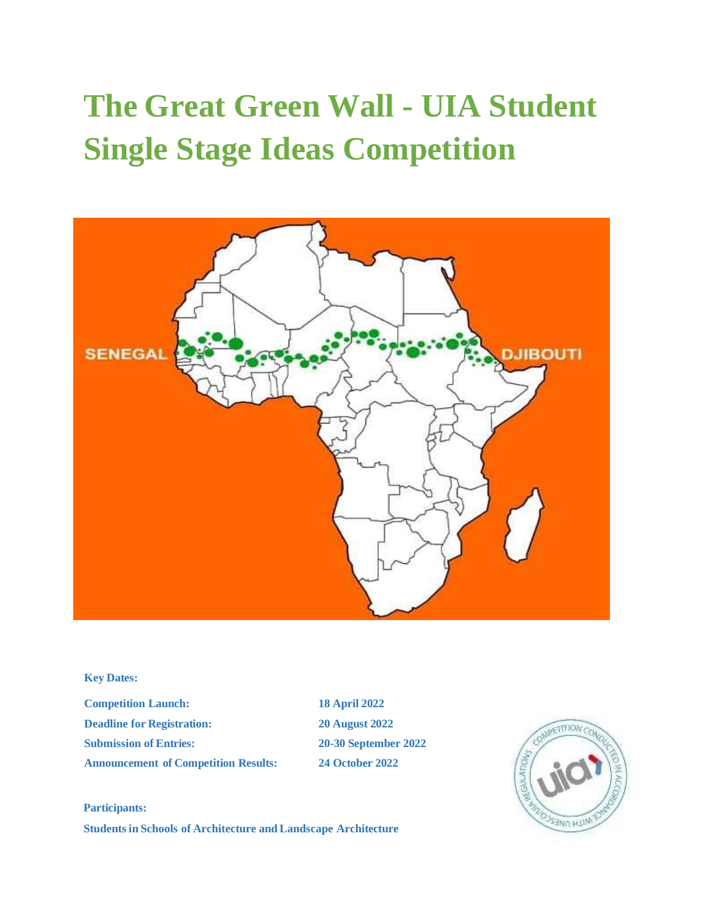# **The Great Green Wall - UIA Student Single Stage Ideas Competition**



# **Key Dates:**

**Competition Launch: 18 April 2022 Deadline for Registration: 20 August 2022 Submission of Entries: 20-30 September 2022 Announcement of Competition Results: 24 October 2022**



## **Participants:**

**StudentsinSchools of Architecture and Landscape Architecture**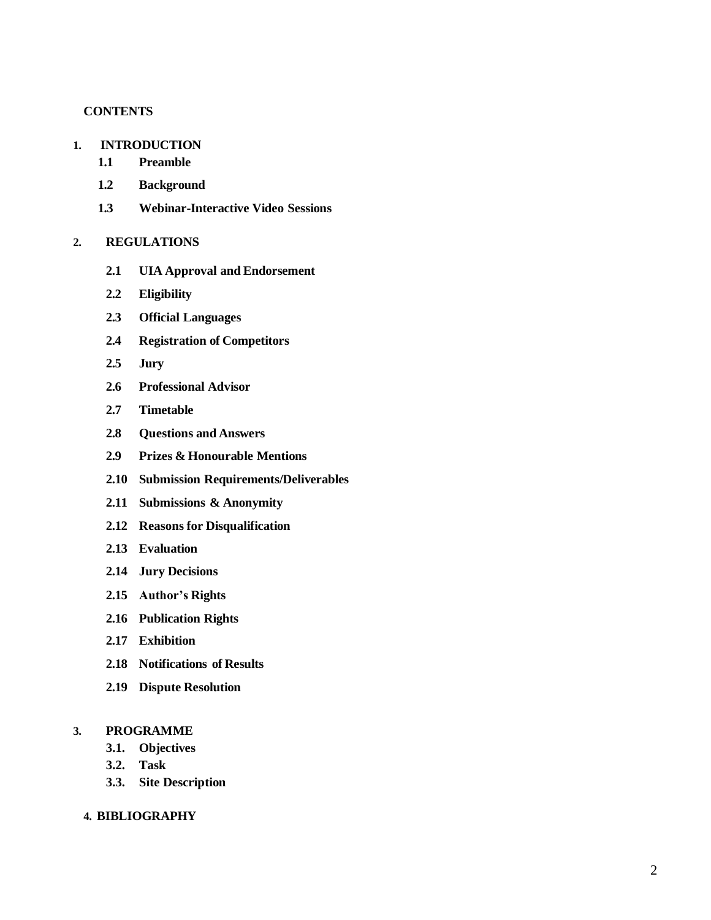# **CONTENTS**

# **1. INTRODUCTION**

- **1.1 Preamble**
- **1.2 Background**
- **1.3 Webinar-Interactive Video Sessions**

# **2. REGULATIONS**

- **2.1 UIA Approval and Endorsement**
- **2.2 Eligibility**
- **2.3 Official Languages**
- **2.4 Registration of Competitors**
- **2.5 Jury**
- **2.6 Professional Advisor**
- **2.7 Timetable**
- **2.8 Questions and Answers**
- **2.9 Prizes & Honourable Mentions**
- **2.10 Submission Requirements/Deliverables**
- **2.11 Submissions & Anonymity**
- **2.12 Reasons for Disqualification**
- **2.13 Evaluation**
- **2.14 Jury Decisions**
- **2.15 Author's Rights**
- **2.16 Publication Rights**
- **2.17 Exhibition**
- **2.18 Notifications of Results**
- **2.19 Dispute Resolution**

# **3. PROGRAMME**

- **3.1. Objectives**
- **3.2. Task**
- **3.3. Site Description**

# **4. BIBLIOGRAPHY**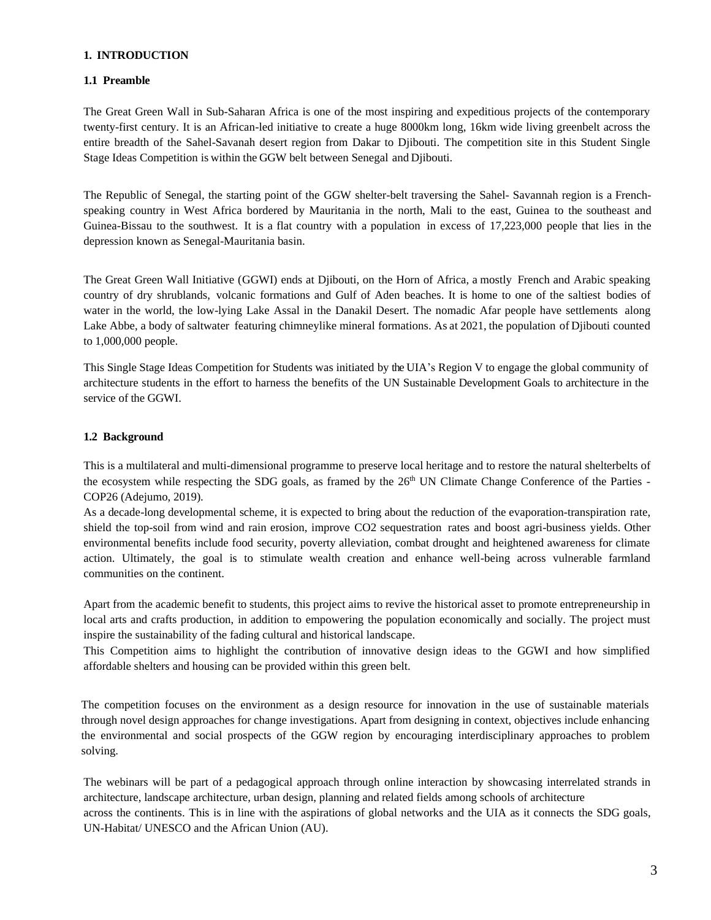# **1. INTRODUCTION**

# **1.1 Preamble**

The Great Green Wall in Sub-Saharan Africa is one of the most inspiring and expeditious projects of the contemporary twenty-first century. It is an African-led initiative to create a huge 8000km long, 16km wide living greenbelt across the entire breadth of the Sahel-Savanah desert region from Dakar to Djibouti. The competition site in this Student Single Stage Ideas Competition is within the GGW belt between Senegal and Djibouti.

The Republic of Senegal, the starting point of the GGW shelter-belt traversing the Sahel- Savannah region is a Frenchspeaking country in West Africa bordered by Mauritania in the north, Mali to the east, Guinea to the southeast and Guinea-Bissau to the southwest. It is a flat country with a population in excess of 17,223,000 people that lies in the depression known as Senegal-Mauritania basin.

The Great Green Wall Initiative (GGWI) ends at Djibouti, on the Horn of Africa, a mostly French and Arabic speaking country of dry shrublands, volcanic formations and Gulf of Aden beaches. It is home to one of the saltiest bodies of water in the world, the low-lying Lake Assal in the Danakil Desert. The nomadic Afar people have settlements along Lake Abbe, a body of saltwater featuring chimneylike mineral formations. As at 2021, the population of Djibouti counted to 1,000,000 people.

This Single Stage Ideas Competition for Students was initiated by the UIA's Region V to engage the global community of architecture students in the effort to harness the benefits of the UN Sustainable Development Goals to architecture in the service of the GGWI.

# **1.2 Background**

This is a multilateral and multi-dimensional programme to preserve local heritage and to restore the natural shelterbelts of the ecosystem while respecting the SDG goals, as framed by the 26<sup>th</sup> UN Climate Change Conference of the Parties -COP26 (Adejumo, 2019).

As a decade-long developmental scheme, it is expected to bring about the reduction of the evaporation-transpiration rate, shield the top-soil from wind and rain erosion, improve CO2 sequestration rates and boost agri-business yields. Other environmental benefits include food security, poverty alleviation, combat drought and heightened awareness for climate action. Ultimately, the goal is to stimulate wealth creation and enhance well-being across vulnerable farmland communities on the continent.

Apart from the academic benefit to students, this project aims to revive the historical asset to promote entrepreneurship in local arts and crafts production, in addition to empowering the population economically and socially. The project must inspire the sustainability of the fading cultural and historical landscape.

This Competition aims to highlight the contribution of innovative design ideas to the GGWI and how simplified affordable shelters and housing can be provided within this green belt.

The competition focuses on the environment as a design resource for innovation in the use of sustainable materials through novel design approaches for change investigations. Apart from designing in context, objectives include enhancing the environmental and social prospects of the GGW region by encouraging interdisciplinary approaches to problem solving.

The webinars will be part of a pedagogical approach through online interaction by showcasing interrelated strands in architecture, landscape architecture, urban design, planning and related fields among schools of architecture across the continents. This is in line with the aspirations of global networks and the UIA as it connects the SDG goals, UN-Habitat/ UNESCO and the African Union (AU).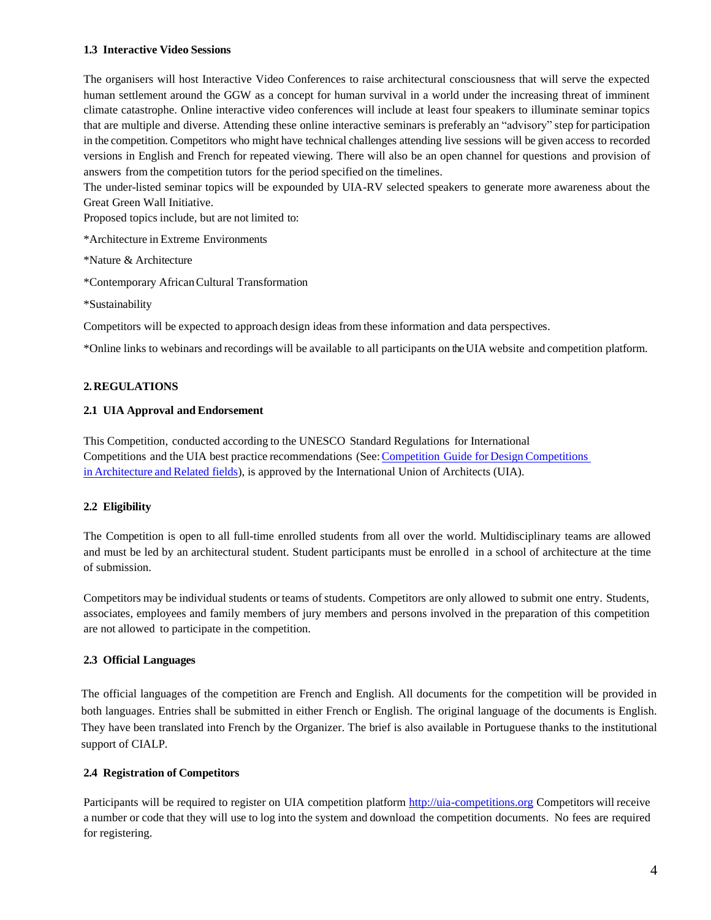# **1.3 Interactive Video Sessions**

The organisers will host Interactive Video Conferences to raise architectural consciousness that will serve the expected human settlement around the GGW as a concept for human survival in a world under the increasing threat of imminent climate catastrophe. Online interactive video conferences will include at least four speakers to illuminate seminar topics that are multiple and diverse. Attending these online interactive seminars is preferably an "advisory" step for participation in the competition. Competitors who might have technical challenges attending live sessions will be given access to recorded versions in English and French for repeated viewing. There will also be an open channel for questions and provision of answers from the competition tutors for the period specified on the timelines.

The under-listed seminar topics will be expounded by UIA-RV selected speakers to generate more awareness about the Great Green Wall Initiative.

Proposed topics include, but are not limited to:

\*Architecture in Extreme Environments

\*Nature & Architecture

\*Contemporary AfricanCultural Transformation

\*Sustainability

Competitors will be expected to approach design ideas from these information and data perspectives.

\*Online links to webinars and recordings will be available to all participants on the UIA website and competition platform.

# **2.REGULATIONS**

# **2.1 UIA Approval and Endorsement**

This Competition, conducted according to the UNESCO Standard Regulations for International Competitions and the UIA best practice recommendations (See:Competition Guide for Design [Competitions](https://www.uia-architectes.org/wp-content/uploads/2022/02/2_UIA_competition_guide_2020.pdf) in [Architecture](https://www.uia-architectes.org/wp-content/uploads/2022/02/2_UIA_competition_guide_2020.pdf) and Related fields), is approved by the International Union of Architects (UIA).

# **2.2 Eligibility**

The Competition is open to all full-time enrolled students from all over the world. Multidisciplinary teams are allowed and must be led by an architectural student. Student participants must be enrolle d in a school of architecture at the time of submission.

Competitors may be individual students or teams of students. Competitors are only allowed to submit one entry. Students, associates, employees and family members of jury members and persons involved in the preparation of this competition are not allowed to participate in the competition.

# **2.3 Official Languages**

The official languages of the competition are French and English. All documents for the competition will be provided in both languages. Entries shall be submitted in either French or English. The original language of the documents is English. They have been translated into French by the Organizer. The brief is also available in Portuguese thanks to the institutional support of CIALP.

# **2.4 Registration of Competitors**

Participants will be required to register on UIA competition platform [http://uia-competitions.org](http://uia-competitions.org/) Competitors will receive a number or code that they will use to log into the system and download the competition documents. No fees are required for registering.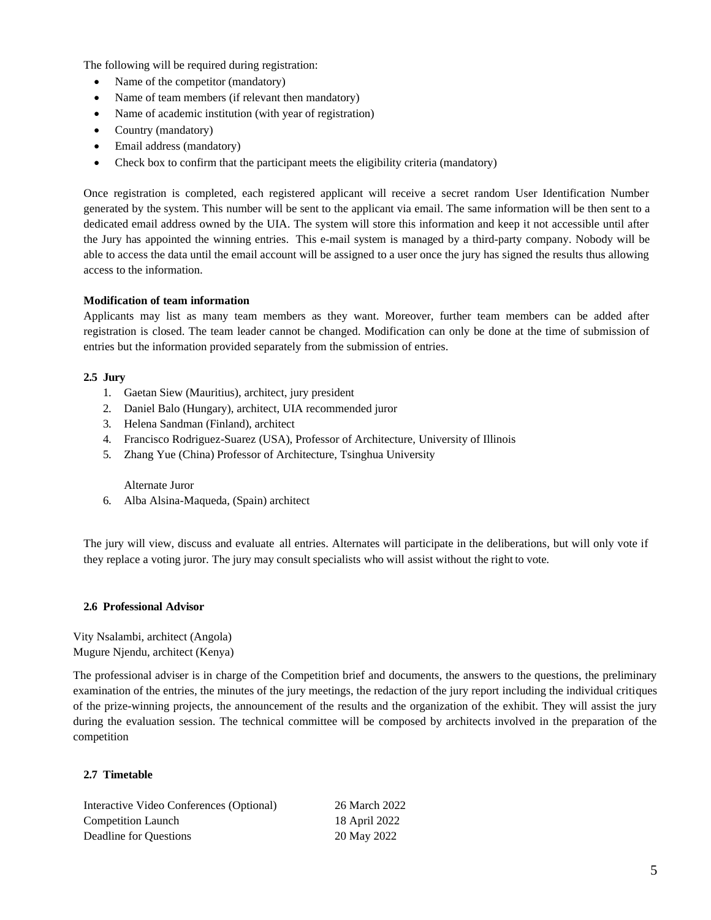The following will be required during registration:

- Name of the competitor (mandatory)
- Name of team members (if relevant then mandatory)
- Name of academic institution (with year of registration)
- Country (mandatory)
- Email address (mandatory)
- Check box to confirm that the participant meets the eligibility criteria (mandatory)

Once registration is completed, each registered applicant will receive a secret random User Identification Number generated by the system. This number will be sent to the applicant via email. The same information will be then sent to a dedicated email address owned by the UIA. The system will store this information and keep it not accessible until after the Jury has appointed the winning entries. This e-mail system is managed by a third-party company. Nobody will be able to access the data until the email account will be assigned to a user once the jury has signed the results thus allowing access to the information.

## **Modification of team information**

Applicants may list as many team members as they want. Moreover, further team members can be added after registration is closed. The team leader cannot be changed. Modification can only be done at the time of submission of entries but the information provided separately from the submission of entries.

## **2.5 Jury**

- 1. Gaetan Siew (Mauritius), architect, jury president
- 2. Daniel Balo (Hungary), architect, UIA recommended juror
- 3. Helena Sandman (Finland), architect
- 4. Francisco Rodriguez-Suarez (USA), Professor of Architecture, University of Illinois
- 5. Zhang Yue (China) Professor of Architecture, Tsinghua University

#### Alternate Juror

6. Alba Alsina-Maqueda, (Spain) architect

The jury will view, discuss and evaluate all entries. Alternates will participate in the deliberations, but will only vote if they replace a voting juror. The jury may consult specialists who will assist without the rightto vote.

## **2.6 Professional Advisor**

Vity Nsalambi, architect (Angola) Mugure Njendu, architect (Kenya)

The professional adviser is in charge of the Competition brief and documents, the answers to the questions, the preliminary examination of the entries, the minutes of the jury meetings, the redaction of the jury report including the individual critiques of the prize-winning projects, the announcement of the results and the organization of the exhibit. They will assist the jury during the evaluation session. The technical committee will be composed by architects involved in the preparation of the competition

# **2.7 Timetable**

Interactive Video Conferences (Optional) 26 March 2022 Competition Launch 18 April 2022 Deadline for Questions 20 May 2022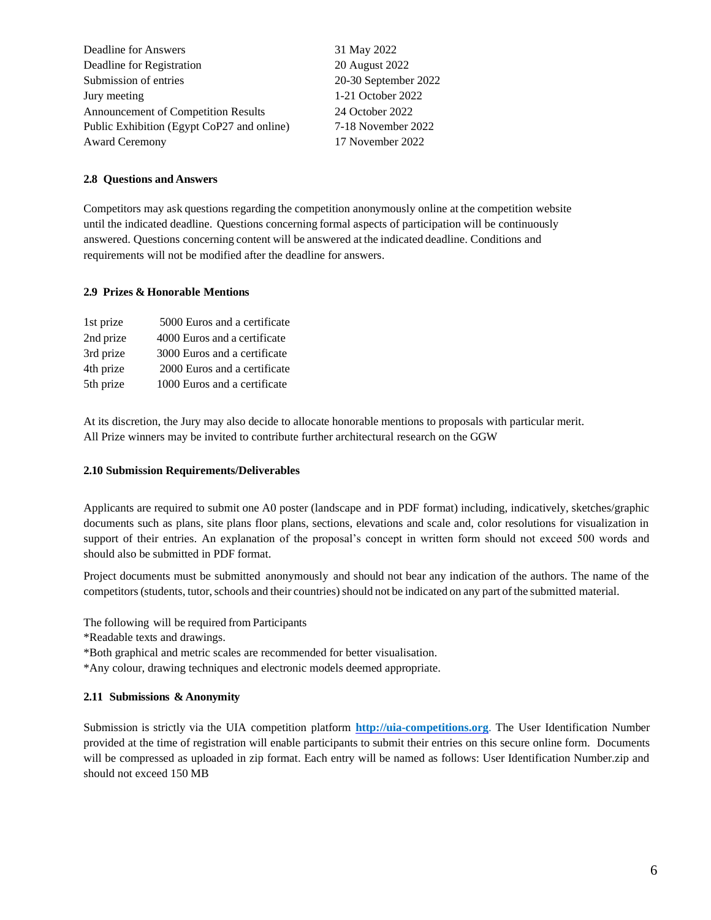| Deadline for Answers                       | 31 May 2022          |
|--------------------------------------------|----------------------|
| Deadline for Registration                  | 20 August 2022       |
| Submission of entries                      | 20-30 September 2022 |
| Jury meeting                               | 1-21 October 2022    |
| <b>Announcement of Competition Results</b> | 24 October 2022      |
| Public Exhibition (Egypt CoP27 and online) | 7-18 November 2022   |
| <b>Award Ceremony</b>                      | 17 November 2022     |
|                                            |                      |

# **2.8 Questions and Answers**

Competitors may ask questions regarding the competition anonymously online at the competition website until the indicated deadline. Questions concerning formal aspects of participation will be continuously answered. Questions concerning content will be answered atthe indicated deadline. Conditions and requirements will not be modified after the deadline for answers.

## **2.9 Prizes & Honorable Mentions**

| 1st prize | 5000 Euros and a certificate |
|-----------|------------------------------|
| 2nd prize | 4000 Euros and a certificate |
| 3rd prize | 3000 Euros and a certificate |
| 4th prize | 2000 Euros and a certificate |
| 5th prize | 1000 Euros and a certificate |

At its discretion, the Jury may also decide to allocate honorable mentions to proposals with particular merit. All Prize winners may be invited to contribute further architectural research on the GGW

#### **2.10 Submission Requirements/Deliverables**

Applicants are required to submit one A0 poster (landscape and in PDF format) including, indicatively, sketches/graphic documents such as plans, site plans floor plans, sections, elevations and scale and, color resolutions for visualization in support of their entries. An explanation of the proposal's concept in written form should not exceed 500 words and should also be submitted in PDF format.

Project documents must be submitted anonymously and should not bear any indication of the authors. The name of the competitors (students, tutor, schools and their countries) should not be indicated on any part of the submitted material.

The following will be required from Participants

- \*Readable texts and drawings.
- \*Both graphical and metric scales are recommended for better visualisation.
- \*Any colour, drawing techniques and electronic models deemed appropriate.

# **2.11 Submissions & Anonymity**

Submission is strictly via the UIA competition platform **[http://uia-competitions.org](http://uia-competitions.org/)**. The User Identification Number provided at the time of registration will enable participants to submit their entries on this secure online form. Documents will be compressed as uploaded in zip format. Each entry will be named as follows: User Identification Number.zip and should not exceed 150 MB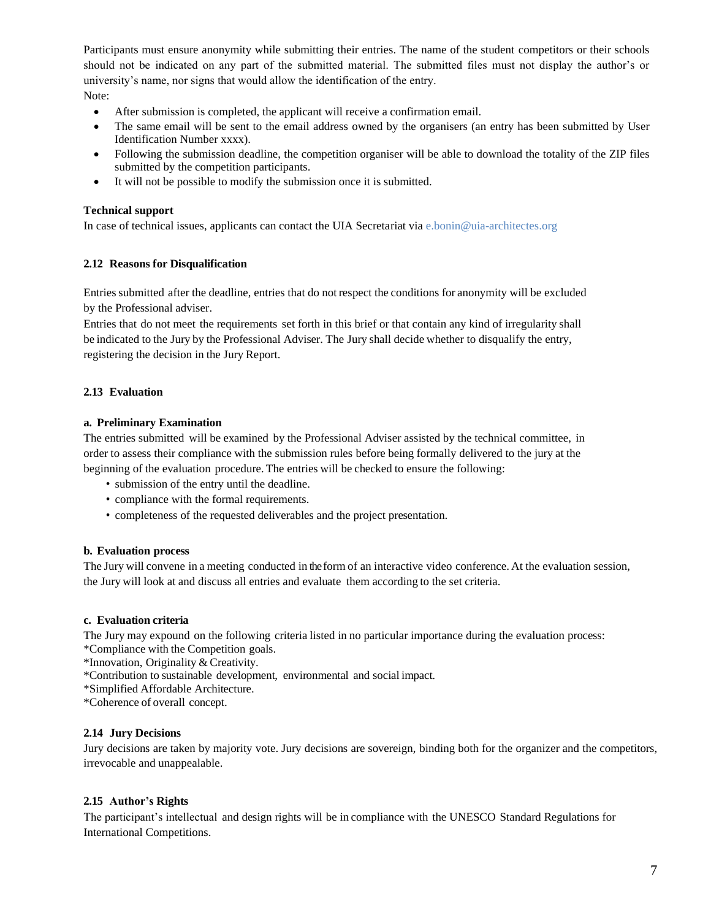Participants must ensure anonymity while submitting their entries. The name of the student competitors or their schools should not be indicated on any part of the submitted material. The submitted files must not display the author's or university's name, nor signs that would allow the identification of the entry. Note:

- After submission is completed, the applicant will receive a confirmation email.
- The same email will be sent to the email address owned by the organisers (an entry has been submitted by User Identification Number xxxx).
- Following the submission deadline, the competition organiser will be able to download the totality of the ZIP files submitted by the competition participants.
- It will not be possible to modify the submission once it is submitted.

## **Technical support**

In case of technical issues, applicants can contact the UIA Secretariat via [e.bonin@uia-architectes.org](mailto:e.bonin@uia-architectes.org)

#### **2.12 Reasons for Disqualification**

Entriessubmitted after the deadline, entries that do not respect the conditions for anonymity will be excluded by the Professional adviser.

Entries that do not meet the requirements set forth in this brief or that contain any kind of irregularity shall be indicated to the Jury by the Professional Adviser. The Jury shall decide whether to disqualify the entry, registering the decision in the Jury Report.

## **2.13 Evaluation**

## **a. Preliminary Examination**

The entries submitted will be examined by the Professional Adviser assisted by the technical committee, in order to assess their compliance with the submission rules before being formally delivered to the jury at the beginning of the evaluation procedure. The entries will be checked to ensure the following:

- submission of the entry until the deadline.
- compliance with the formal requirements.
- completeness of the requested deliverables and the project presentation.

#### **b. Evaluation process**

The Jury will convene in a meeting conducted in the form of an interactive video conference. At the evaluation session, the Jury will look at and discuss all entries and evaluate them according to the set criteria.

## **c. Evaluationcriteria**

The Jury may expound on the following criteria listed in no particular importance during the evaluation process: \*Compliance with the Competition goals.

- \*Innovation, Originality & Creativity.
- \*Contribution to sustainable development, environmental and socialimpact.
- \*Simplified Affordable Architecture.
- \*Coherence of overall concept.

#### **2.14 Jury Decisions**

Jury decisions are taken by majority vote. Jury decisions are sovereign, binding both for the organizer and the competitors, irrevocable and unappealable.

#### **2.15 Author's Rights**

The participant's intellectual and design rights will be in compliance with the UNESCO Standard Regulations for International Competitions.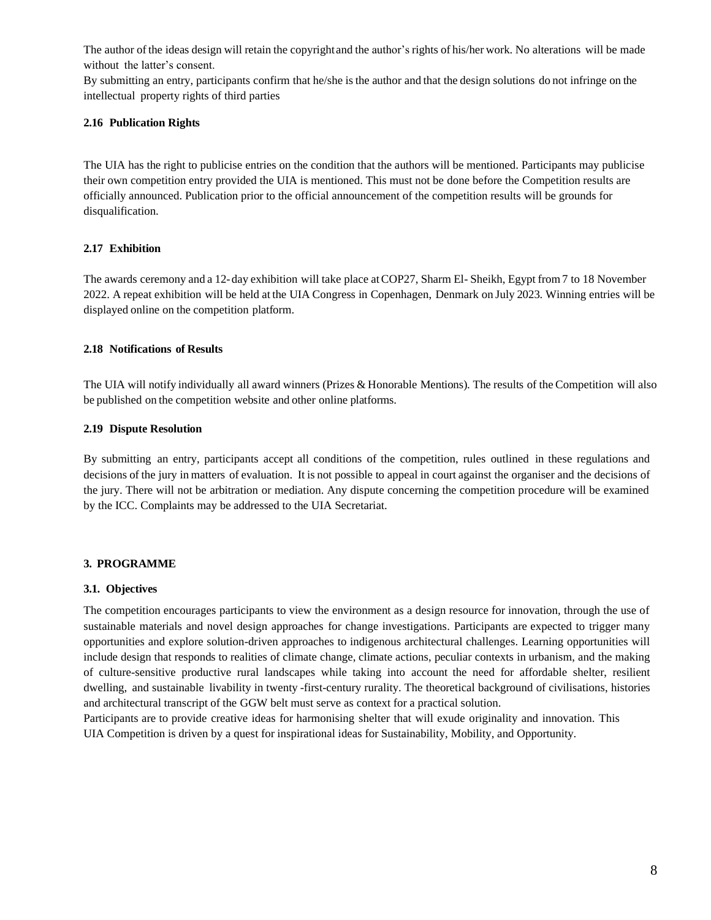The author of the ideas design will retain the copyrightand the author's rights of his/her work. No alterations will be made without the latter's consent.

By submitting an entry, participants confirm that he/she isthe author and that the design solutions do not infringe on the intellectual property rights of third parties

# **2.16 Publication Rights**

The UIA has the right to publicise entries on the condition that the authors will be mentioned. Participants may publicise their own competition entry provided the UIA is mentioned. This must not be done before the Competition results are officially announced. Publication prior to the official announcement of the competition results will be grounds for disqualification.

# **2.17 Exhibition**

The awards ceremony and a 12-day exhibition will take place atCOP27, Sharm El-Sheikh, Egypt from7 to 18 November 2022. A repeat exhibition will be held atthe UIA Congress in Copenhagen, Denmark on July 2023. Winning entries will be displayed online on the competition platform.

# **2.18 Notifications of Results**

The UIA will notify individually all award winners (Prizes & Honorable Mentions). The results of the Competition will also be published on the competition website and other online platforms.

# **2.19 Dispute Resolution**

By submitting an entry, participants accept all conditions of the competition, rules outlined in these regulations and decisions of the jury in matters of evaluation. Itis not possible to appeal in court against the organiser and the decisions of the jury. There will not be arbitration or mediation. Any dispute concerning the competition procedure will be examined by the ICC. Complaints may be addressed to the UIA Secretariat.

# **3. PROGRAMME**

# **3.1. Objectives**

The competition encourages participants to view the environment as a design resource for innovation, through the use of sustainable materials and novel design approaches for change investigations. Participants are expected to trigger many opportunities and explore solution-driven approaches to indigenous architectural challenges. Learning opportunities will include design that responds to realities of climate change, climate actions, peculiar contexts in urbanism, and the making of culture-sensitive productive rural landscapes while taking into account the need for affordable shelter, resilient dwelling, and sustainable livability in twenty -first-century rurality. The theoretical background of civilisations, histories and architectural transcript of the GGW belt must serve as context for a practical solution.

Participants are to provide creative ideas for harmonising shelter that will exude originality and innovation. This UIA Competition is driven by a quest for inspirational ideas for Sustainability, Mobility, and Opportunity.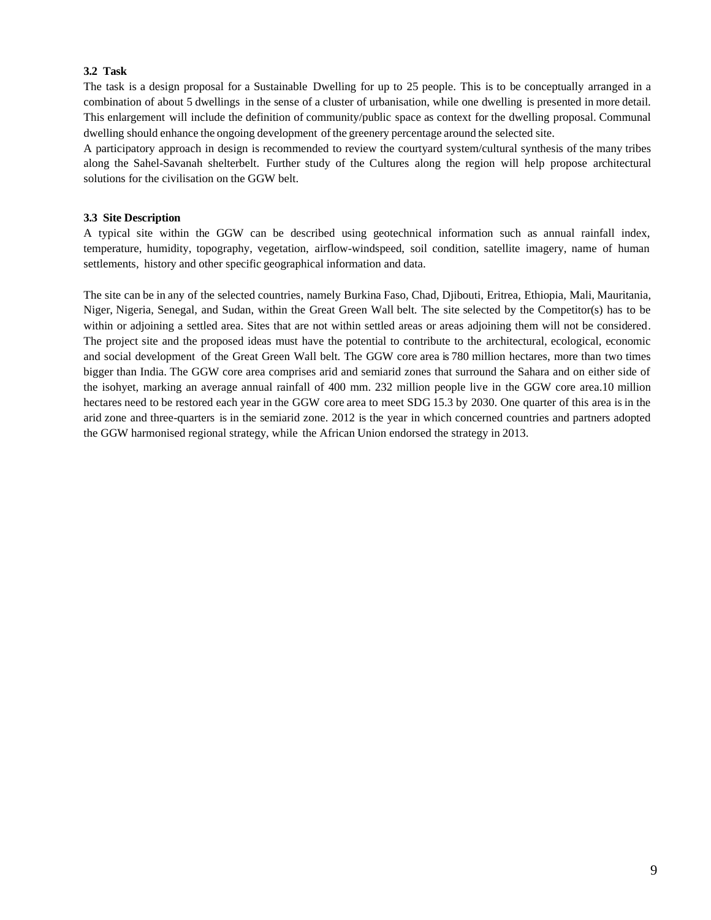## **3.2 Task**

The task is a design proposal for a Sustainable Dwelling for up to 25 people. This is to be conceptually arranged in a combination of about 5 dwellings in the sense of a cluster of urbanisation, while one dwelling is presented in more detail. This enlargement will include the definition of community/public space as context for the dwelling proposal. Communal dwelling should enhance the ongoing development of the greenery percentage around the selected site.

A participatory approach in design is recommended to review the courtyard system/cultural synthesis of the many tribes along the Sahel-Savanah shelterbelt. Further study of the Cultures along the region will help propose architectural solutions for the civilisation on the GGW belt.

## **3.3 Site Description**

A typical site within the GGW can be described using geotechnical information such as annual rainfall index, temperature, humidity, topography, vegetation, airflow-windspeed, soil condition, satellite imagery, name of human settlements, history and other specific geographical information and data.

The site can be in any of the selected countries, namely Burkina Faso, Chad, Djibouti, Eritrea, Ethiopia, Mali, Mauritania, Niger, Nigeria, Senegal, and Sudan, within the Great Green Wall belt. The site selected by the Competitor(s) has to be within or adjoining a settled area. Sites that are not within settled areas or areas adjoining them will not be considered. The project site and the proposed ideas must have the potential to contribute to the architectural, ecological, economic and social development of the Great Green Wall belt. The GGW core area is 780 million hectares, more than two times bigger than India. The GGW core area comprises arid and semiarid zones that surround the Sahara and on either side of the isohyet, marking an average annual rainfall of 400 mm. 232 million people live in the GGW core area.10 million hectares need to be restored each year in the GGW core area to meet SDG 15.3 by 2030. One quarter of this area is in the arid zone and three-quarters is in the semiarid zone. 2012 is the year in which concerned countries and partners adopted the GGW harmonised regional strategy, while the African Union endorsed the strategy in 2013.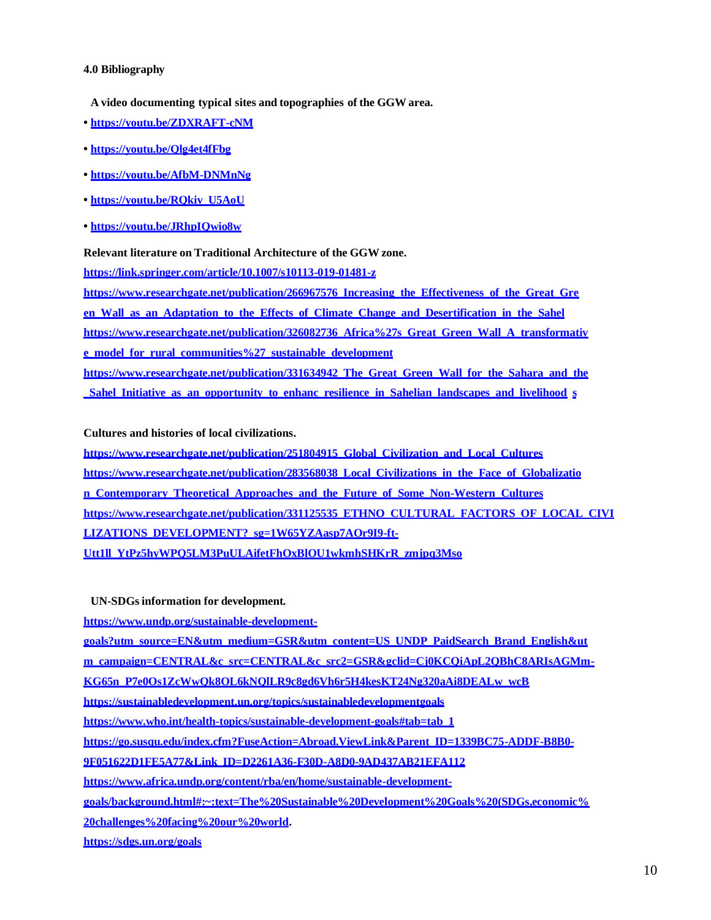## **4.0 Bibliography**

**A video documenting typical sites andtopographies of the GGW area.**

- **• <https://youtu.be/ZDXRAFT-cNM>**
- **• <https://youtu.be/Qlg4et4fFbg>**
- **• <https://youtu.be/AfbM-DNMnNg>**
- **• [https://youtu.be/RQkiv\\_U5AoU](https://youtu.be/RQkiv_U5AoU)**
- **• <https://youtu.be/JRhpIQwio8w>**

**Relevant literature on Traditional Architecture of the GGW zone.** 

**<https://link.springer.com/article/10.1007/s10113-019-01481-z>**

**[https://www.researchgate.net/publication/266967576\\_Increasing\\_the\\_Effectiveness\\_of\\_the\\_Great\\_Gre](https://www.researchgate.net/publication/266967576_Increasing_the_Effectiveness_of_the_Great_Green_Wall_as_an_Adaptation_to_the_Effects_of_Climate_Change_and_Desertification_in_the_Sahel) [en\\_Wall\\_as\\_an\\_Adaptation\\_to\\_the\\_Effects\\_of\\_Climate\\_Change\\_and\\_Desertification\\_in\\_the\\_Sahel](https://www.researchgate.net/publication/266967576_Increasing_the_Effectiveness_of_the_Great_Green_Wall_as_an_Adaptation_to_the_Effects_of_Climate_Change_and_Desertification_in_the_Sahel) [https://www.researchgate.net/publication/326082736\\_Africa%27s\\_Great\\_Green\\_Wall\\_A\\_transformativ](https://www.researchgate.net/publication/326082736_Africa%27s_Great_Green_Wall_A_transformative_model_for_rural_communities%27_sustainable_development) [e\\_model\\_for\\_rural\\_communities%27\\_sustainable\\_development](https://www.researchgate.net/publication/326082736_Africa%27s_Great_Green_Wall_A_transformative_model_for_rural_communities%27_sustainable_development) [https://www.researchgate.net/publication/331634942\\_The\\_Great\\_Green\\_Wall\\_for\\_the\\_Sahara\\_and\\_the](https://www.researchgate.net/publication/331634942_The_Great_Green_Wall_for_the_Sahara_and_the_Sahel_Initiative_as_an_opportunity_to_enhance_resilience_in_Sahelian_landscapes_and_livelihoods) [\\_Sahel\\_Initiative\\_as\\_an\\_opportunity\\_to\\_enhanc\\_resilience\\_in\\_Sahelian\\_landscapes\\_and\\_livelihood](https://www.researchgate.net/publication/331634942_The_Great_Green_Wall_for_the_Sahara_and_the_Sahel_Initiative_as_an_opportunity_to_enhance_resilience_in_Sahelian_landscapes_and_livelihoods) [s](https://www.researchgate.net/publication/331634942_The_Great_Green_Wall_for_the_Sahara_and_the_Sahel_Initiative_as_an_opportunity_to_enhance_resilience_in_Sahelian_landscapes_and_livelihoods)**

## **Cultures and histories of local civilizations.**

**[https://www.researchgate.net/publication/251804915\\_Global\\_Civilization\\_and\\_Local\\_Cultures](https://www.researchgate.net/publication/251804915_Global_Civilization_and_Local_Cultures) [https://www.researchgate.net/publication/283568038\\_Local\\_Civilizations\\_in\\_the\\_Face\\_of\\_Globalizatio](https://www.researchgate.net/publication/283568038_Local_Civilizations_in_the_Face_of_Globalization_Contemporary_Theoretical_Approaches_and_the_Future_of_Some_Non-Western_Cultures) [n\\_Contemporary\\_Theoretical\\_Approaches\\_and\\_the\\_Future\\_of\\_Some\\_Non-Western\\_Cultures](https://www.researchgate.net/publication/283568038_Local_Civilizations_in_the_Face_of_Globalization_Contemporary_Theoretical_Approaches_and_the_Future_of_Some_Non-Western_Cultures) [https://www.researchgate.net/publication/331125535\\_ETHNO\\_CULTURAL\\_FACTORS\\_OF\\_LOCAL\\_CIVI](https://www.researchgate.net/publication/331125535_ETHNO_CULTURAL_FACTORS_OF_LOCAL_CIVILIZATIONS_DEVELOPMENT?_sg=1W65YZAasp7AOr9I9-ft-Utt1ll_YtPz5hyWPQ5LM3PuULAifetFhOxBlOU1wkmhSHKrR_zmjpq3Mso) [LIZATIONS\\_DEVELOPMENT?\\_sg=1W65YZAasp7AOr9I9-ft-](https://www.researchgate.net/publication/331125535_ETHNO_CULTURAL_FACTORS_OF_LOCAL_CIVILIZATIONS_DEVELOPMENT?_sg=1W65YZAasp7AOr9I9-ft-Utt1ll_YtPz5hyWPQ5LM3PuULAifetFhOxBlOU1wkmhSHKrR_zmjpq3Mso)[Utt1ll\\_YtPz5hyWPQ5LM3PuULAifetFhOxBlOU1wkmhSHKrR\\_zmjpq3Mso](https://www.researchgate.net/publication/331125535_ETHNO_CULTURAL_FACTORS_OF_LOCAL_CIVILIZATIONS_DEVELOPMENT?_sg=1W65YZAasp7AOr9I9-ft-Utt1ll_YtPz5hyWPQ5LM3PuULAifetFhOxBlOU1wkmhSHKrR_zmjpq3Mso)**

**UN-SDGsinformation fordevelopment.**

**[https://www.undp.org/sustainable-development-](https://www.undp.org/sustainable-development-goals?utm_source=EN&utm_medium=GSR&utm_content=US_UNDP_PaidSearch_Brand_English&utm_campaign=CENTRAL&c_src=CENTRAL&c_src2=GSR&gclid=Cj0KCQiApL2QBhC8ARIsAGMm-KG65n_P7e0Os1ZcWwQk8OL6kNQlLR9c8gd6Vh6r5H4kesKT24Ng320aAi8DEALw_wcB)**

**[goals?utm\\_source=EN&utm\\_medium=GSR&utm\\_content=US\\_UNDP\\_PaidSearch\\_Brand\\_English&ut](https://www.undp.org/sustainable-development-goals?utm_source=EN&utm_medium=GSR&utm_content=US_UNDP_PaidSearch_Brand_English&utm_campaign=CENTRAL&c_src=CENTRAL&c_src2=GSR&gclid=Cj0KCQiApL2QBhC8ARIsAGMm-KG65n_P7e0Os1ZcWwQk8OL6kNQlLR9c8gd6Vh6r5H4kesKT24Ng320aAi8DEALw_wcB)**

**[m\\_campaign=CENTRAL&c\\_src=CENTRAL&c\\_src2=GSR&gclid=Cj0KCQiApL2QBhC8ARIsAGMm-](https://www.undp.org/sustainable-development-goals?utm_source=EN&utm_medium=GSR&utm_content=US_UNDP_PaidSearch_Brand_English&utm_campaign=CENTRAL&c_src=CENTRAL&c_src2=GSR&gclid=Cj0KCQiApL2QBhC8ARIsAGMm-KG65n_P7e0Os1ZcWwQk8OL6kNQlLR9c8gd6Vh6r5H4kesKT24Ng320aAi8DEALw_wcB)**

**[KG65n\\_P7e0Os1ZcWwQk8OL6kNQlLR9c8gd6Vh6r5H4kesKT24Ng320aAi8DEALw\\_wcB](https://www.undp.org/sustainable-development-goals?utm_source=EN&utm_medium=GSR&utm_content=US_UNDP_PaidSearch_Brand_English&utm_campaign=CENTRAL&c_src=CENTRAL&c_src2=GSR&gclid=Cj0KCQiApL2QBhC8ARIsAGMm-KG65n_P7e0Os1ZcWwQk8OL6kNQlLR9c8gd6Vh6r5H4kesKT24Ng320aAi8DEALw_wcB)**

**<https://sustainabledevelopment.un.org/topics/sustainabledevelopmentgoals>**

**[https://www.who.int/health-topics/sustainable-development-goals#tab=tab\\_1](https://www.who.int/health-topics/sustainable-development-goals#tab%3Dtab_1)**

**[https://go.susqu.edu/index.cfm?FuseAction=Abroad.ViewLink&Parent\\_ID=1339BC75-ADDF-B8B0-](https://go.susqu.edu/index.cfm?FuseAction=Abroad.ViewLink&Parent_ID=1339BC75-ADDF-B8B0-9F051622D1FE5A77&Link_ID=D2261A36-F30D-A8D0-9AD437AB21EFA112)**

**[9F051622D1FE5A77&Link\\_ID=D2261A36-F30D-A8D0-9AD437AB21EFA112](https://go.susqu.edu/index.cfm?FuseAction=Abroad.ViewLink&Parent_ID=1339BC75-ADDF-B8B0-9F051622D1FE5A77&Link_ID=D2261A36-F30D-A8D0-9AD437AB21EFA112)**

**[https://www.africa.undp.org/content/rba/en/home/sustainable-development-](https://www.africa.undp.org/content/rba/en/home/sustainable-development-goals/background.html#%3A~%3Atext%3DThe%20Sustainable%20Development%20Goals%20(SDGs%2Ceconomic%20challenges%20facing%20our%20world)**

**[goals/background.html#:~:text=The%20Sustainable%20Development%20Goals%20\(SDGs,economic%](https://www.africa.undp.org/content/rba/en/home/sustainable-development-goals/background.html#%3A~%3Atext%3DThe%20Sustainable%20Development%20Goals%20(SDGs%2Ceconomic%20challenges%20facing%20our%20world)**

**[20challenges%20facing%20our%20world.](https://www.africa.undp.org/content/rba/en/home/sustainable-development-goals/background.html#%3A~%3Atext%3DThe%20Sustainable%20Development%20Goals%20(SDGs%2Ceconomic%20challenges%20facing%20our%20world)**

**<https://sdgs.un.org/goals>**